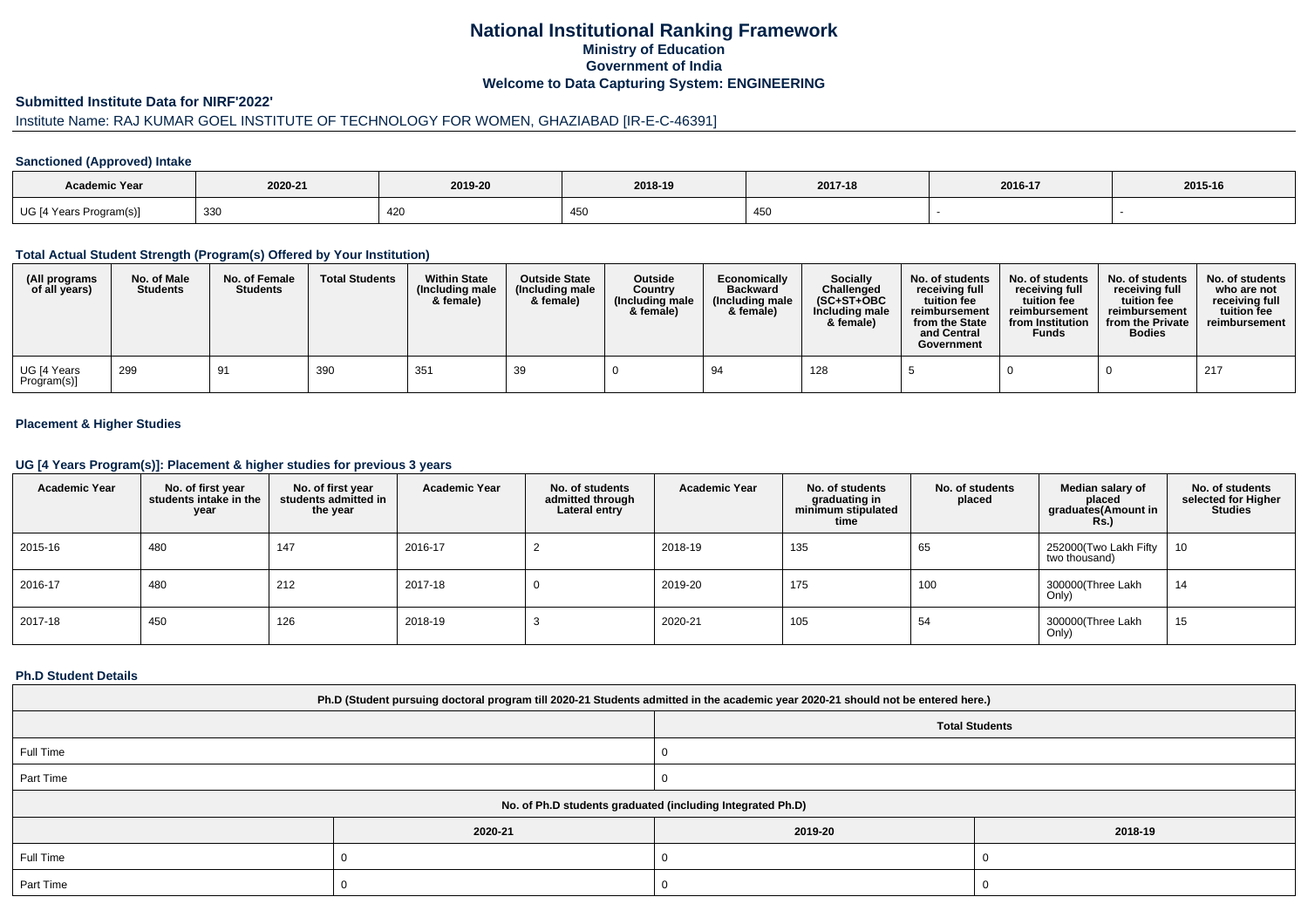# **National Institutional Ranking FrameworkMinistry of Education Government of IndiaWelcome to Data Capturing System: ENGINEERING**

#### **Submitted Institute Data for NIRF'2022'**

# Institute Name: RAJ KUMAR GOEL INSTITUTE OF TECHNOLOGY FOR WOMEN, GHAZIABAD [IR-E-C-46391]

### **Sanctioned (Approved) Intake**

| <b>Academic Year</b>    | 2020-21 | 2019-20 | 2018-19 | 2017-18                | 2016-17 | 2015-16 |
|-------------------------|---------|---------|---------|------------------------|---------|---------|
| UG [4 Years Program(s)] | 330     | 420     |         | $\cdot$ $\cdot$<br>450 |         |         |

#### **Total Actual Student Strength (Program(s) Offered by Your Institution)**

| (All programs<br>of all years) | No. of Male<br><b>Students</b> | No. of Female<br><b>Students</b> | <b>Total Students</b> | <b>Within State</b><br>(Including male<br>& female) | <b>Outside State</b><br>(Including male<br>& female) | <b>Outside</b><br>Country<br>(Including male<br>& female) | Economically<br><b>Backward</b><br>(Including male)<br>& female) | <b>Socially</b><br>Challenged<br>$(SC+ST+OBC)$<br>Including male<br>& female) | No. of students<br>receivina full<br>tuition fee<br>reimbursement<br>from the State<br>and Central<br>Government | No. of students<br>receiving full<br>tuition fee<br>reimbursement<br>from Institution<br><b>Funds</b> | No. of students<br>receiving full<br>tuition fee<br>reimbursement<br>from the Private<br><b>Bodies</b> | No. of students<br>who are not<br>receiving full<br>tuition fee<br>reimbursement |
|--------------------------------|--------------------------------|----------------------------------|-----------------------|-----------------------------------------------------|------------------------------------------------------|-----------------------------------------------------------|------------------------------------------------------------------|-------------------------------------------------------------------------------|------------------------------------------------------------------------------------------------------------------|-------------------------------------------------------------------------------------------------------|--------------------------------------------------------------------------------------------------------|----------------------------------------------------------------------------------|
| UG [4 Years<br>Program(s)]     | 299                            | 91                               | 390                   | $35^{\circ}$                                        | 39                                                   |                                                           | 94                                                               | 128                                                                           |                                                                                                                  |                                                                                                       |                                                                                                        | 217                                                                              |

### **Placement & Higher Studies**

#### **UG [4 Years Program(s)]: Placement & higher studies for previous 3 years**

| <b>Academic Year</b> | No. of first year<br>students intake in the<br>year | No. of first vear<br>students admitted in<br>the year | <b>Academic Year</b> | No. of students<br>admitted through<br>Lateral entry | <b>Academic Year</b> | No. of students<br>graduating in<br>minimum stipulated<br>time | No. of students<br>placed | Median salary of<br>placed<br>graduates(Amount in<br>Rs.) | No. of students<br>selected for Higher<br><b>Studies</b> |
|----------------------|-----------------------------------------------------|-------------------------------------------------------|----------------------|------------------------------------------------------|----------------------|----------------------------------------------------------------|---------------------------|-----------------------------------------------------------|----------------------------------------------------------|
| 2015-16              | 480                                                 | 147                                                   | 2016-17              |                                                      | 2018-19              | 135                                                            | 65                        | 252000 (Two Lakh Fifty<br>two thousand)                   | 10                                                       |
| 2016-17              | 480                                                 | 212                                                   | 2017-18              |                                                      | 2019-20              | 175                                                            | 100                       | 300000(Three Lakh<br>Only)                                | 14                                                       |
| 2017-18              | 450                                                 | 126                                                   | 2018-19              |                                                      | 2020-21              | 105                                                            | 54                        | 300000(Three Lakh<br>Only)                                | 15                                                       |

#### **Ph.D Student Details**

| Ph.D (Student pursuing doctoral program till 2020-21 Students admitted in the academic year 2020-21 should not be entered here.) |         |                       |         |  |  |  |  |
|----------------------------------------------------------------------------------------------------------------------------------|---------|-----------------------|---------|--|--|--|--|
|                                                                                                                                  |         | <b>Total Students</b> |         |  |  |  |  |
| Full Time                                                                                                                        |         |                       |         |  |  |  |  |
| Part Time                                                                                                                        |         |                       |         |  |  |  |  |
| No. of Ph.D students graduated (including Integrated Ph.D)                                                                       |         |                       |         |  |  |  |  |
|                                                                                                                                  | 2020-21 | 2019-20               | 2018-19 |  |  |  |  |
| Full Time                                                                                                                        |         |                       |         |  |  |  |  |
| Part Time                                                                                                                        |         |                       |         |  |  |  |  |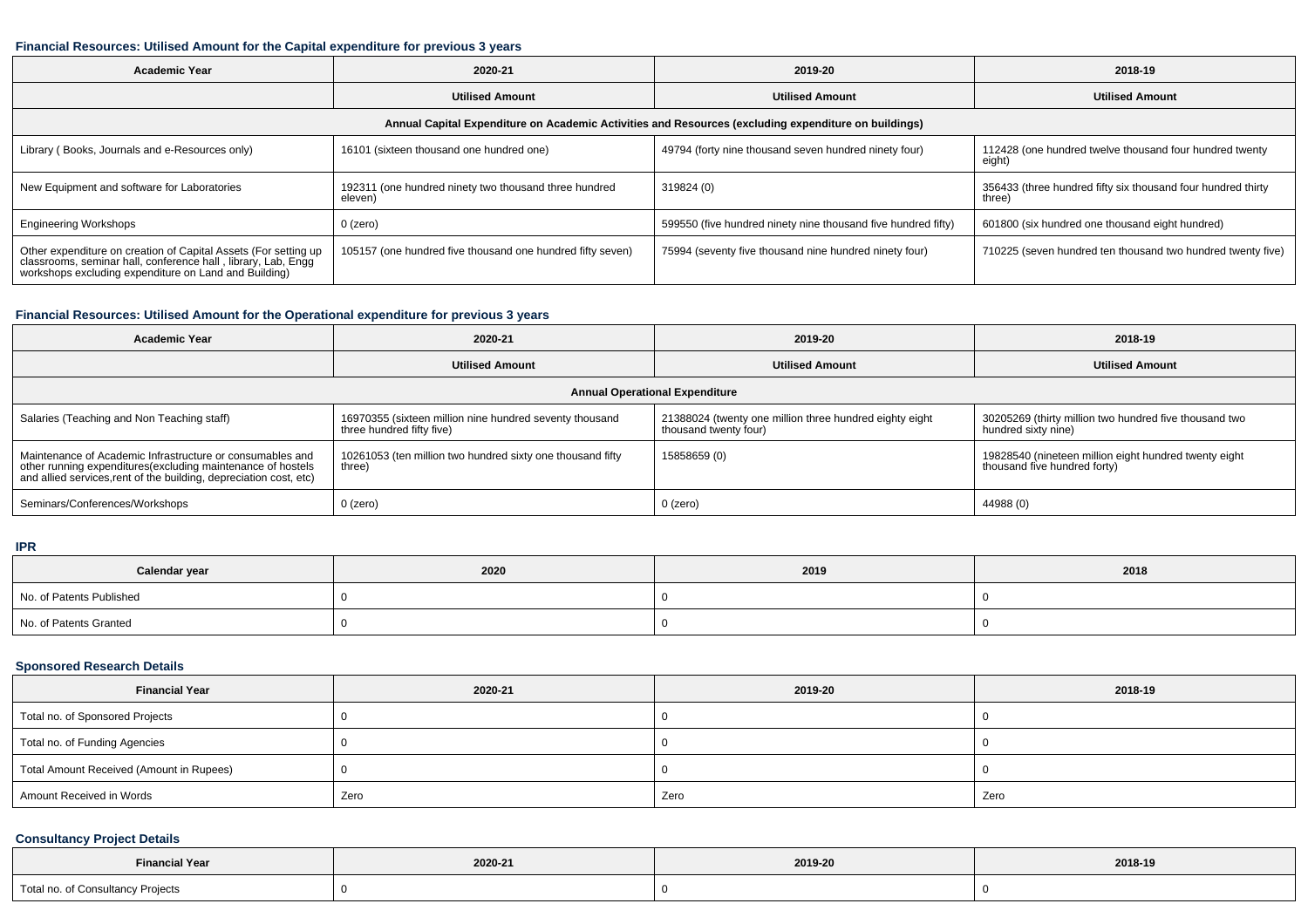### **Financial Resources: Utilised Amount for the Capital expenditure for previous 3 years**

| <b>Academic Year</b>                                                                                                                                                                      | 2020-21                                                          | 2019-20                                                       | 2018-19                                                                |  |  |  |  |  |
|-------------------------------------------------------------------------------------------------------------------------------------------------------------------------------------------|------------------------------------------------------------------|---------------------------------------------------------------|------------------------------------------------------------------------|--|--|--|--|--|
|                                                                                                                                                                                           | <b>Utilised Amount</b>                                           | <b>Utilised Amount</b>                                        | <b>Utilised Amount</b>                                                 |  |  |  |  |  |
| Annual Capital Expenditure on Academic Activities and Resources (excluding expenditure on buildings)                                                                                      |                                                                  |                                                               |                                                                        |  |  |  |  |  |
| Library (Books, Journals and e-Resources only)                                                                                                                                            | 16101 (sixteen thousand one hundred one)                         | 49794 (forty nine thousand seven hundred ninety four)         | 112428 (one hundred twelve thousand four hundred twenty<br>eight)      |  |  |  |  |  |
| New Equipment and software for Laboratories                                                                                                                                               | 192311 (one hundred ninety two thousand three hundred<br>eleven) | 319824 (0)                                                    | 356433 (three hundred fifty six thousand four hundred thirty<br>three) |  |  |  |  |  |
| <b>Engineering Workshops</b>                                                                                                                                                              | $0$ (zero)                                                       | 599550 (five hundred ninety nine thousand five hundred fifty) | 601800 (six hundred one thousand eight hundred)                        |  |  |  |  |  |
| Other expenditure on creation of Capital Assets (For setting up<br>classrooms, seminar hall, conference hall, library, Lab, Engg<br>workshops excluding expenditure on Land and Building) | 105157 (one hundred five thousand one hundred fifty seven)       | 75994 (seventy five thousand nine hundred ninety four)        | 710225 (seven hundred ten thousand two hundred twenty five)            |  |  |  |  |  |

### **Financial Resources: Utilised Amount for the Operational expenditure for previous 3 years**

| Academic Year                                                                                                                                                                                  | 2020-21                                                                              | 2019-20                                                                          | 2018-19                                                                               |  |  |  |  |  |
|------------------------------------------------------------------------------------------------------------------------------------------------------------------------------------------------|--------------------------------------------------------------------------------------|----------------------------------------------------------------------------------|---------------------------------------------------------------------------------------|--|--|--|--|--|
|                                                                                                                                                                                                | <b>Utilised Amount</b>                                                               | <b>Utilised Amount</b>                                                           | <b>Utilised Amount</b>                                                                |  |  |  |  |  |
| <b>Annual Operational Expenditure</b>                                                                                                                                                          |                                                                                      |                                                                                  |                                                                                       |  |  |  |  |  |
| Salaries (Teaching and Non Teaching staff)                                                                                                                                                     | 16970355 (sixteen million nine hundred seventy thousand<br>three hundred fifty five) | 21388024 (twenty one million three hundred eighty eight<br>thousand twenty four) | 30205269 (thirty million two hundred five thousand two<br>hundred sixty nine)         |  |  |  |  |  |
| Maintenance of Academic Infrastructure or consumables and<br>other running expenditures(excluding maintenance of hostels<br>and allied services, rent of the building, depreciation cost, etc) | 10261053 (ten million two hundred sixty one thousand fifty<br>three)                 | 15858659 (0)                                                                     | 19828540 (nineteen million eight hundred twenty eight<br>thousand five hundred forty) |  |  |  |  |  |
| Seminars/Conferences/Workshops                                                                                                                                                                 | 0 (zero)                                                                             | $0$ (zero)                                                                       | 44988 (0)                                                                             |  |  |  |  |  |

#### **IPR**

| Calendar year            | 2020 | 2019 | 2018 |
|--------------------------|------|------|------|
| No. of Patents Published |      |      |      |
| No. of Patents Granted   |      |      |      |

### **Sponsored Research Details**

| <b>Financial Year</b>                    | 2020-21 | 2019-20 | 2018-19 |
|------------------------------------------|---------|---------|---------|
| Total no. of Sponsored Projects          |         |         |         |
| Total no. of Funding Agencies            |         |         |         |
| Total Amount Received (Amount in Rupees) |         |         |         |
| Amount Received in Words                 | Zero    | Zero    | Zero    |

## **Consultancy Project Details**

| <b>Financial Year</b>                              | 2020-21 | 2019-20 | 2018-19 |  |
|----------------------------------------------------|---------|---------|---------|--|
| Total no. of Consultancy Projects<br>$\sim$ $\sim$ |         |         |         |  |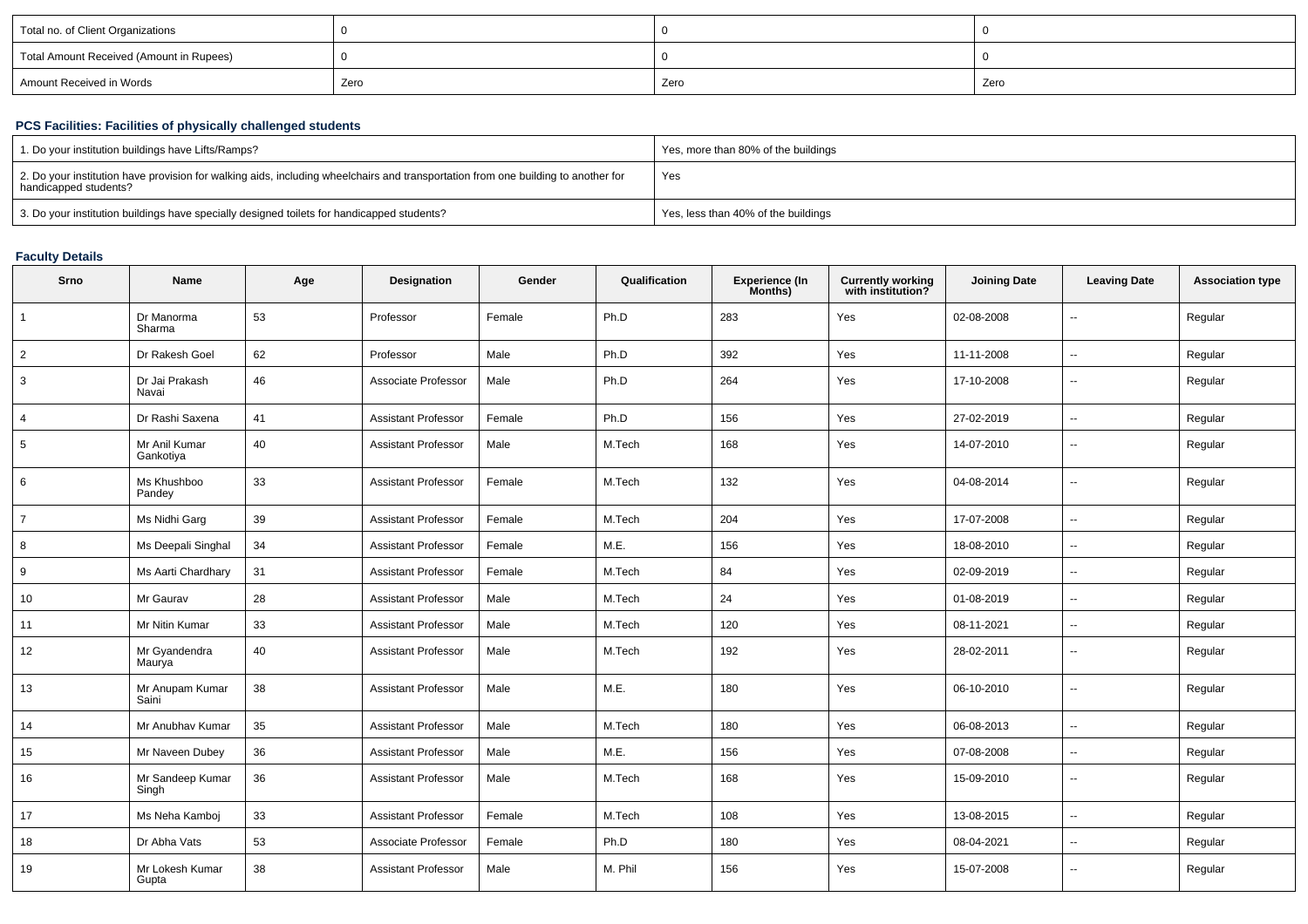| Total no. of Client Organizations        |      |      |      |
|------------------------------------------|------|------|------|
| Total Amount Received (Amount in Rupees) |      |      |      |
| Amount Received in Words                 | Zero | Zero | Zero |

## **PCS Facilities: Facilities of physically challenged students**

| 1. Do your institution buildings have Lifts/Ramps?                                                                                                         | Yes, more than 80% of the buildings |
|------------------------------------------------------------------------------------------------------------------------------------------------------------|-------------------------------------|
| 2. Do your institution have provision for walking aids, including wheelchairs and transportation from one building to another for<br>handicapped students? | Yes                                 |
| 3. Do your institution buildings have specially designed toilets for handicapped students?                                                                 | Yes, less than 40% of the buildings |

### **Faculty Details**

| Srno            | Name                       | Age | Designation                | Gender | Qualification | <b>Experience (In</b><br>Months) | <b>Currently working</b><br>with institution? | <b>Joining Date</b> | <b>Leaving Date</b>      | <b>Association type</b> |
|-----------------|----------------------------|-----|----------------------------|--------|---------------|----------------------------------|-----------------------------------------------|---------------------|--------------------------|-------------------------|
| $\overline{1}$  | Dr Manorma<br>Sharma       | 53  | Professor                  | Female | Ph.D          | 283                              | Yes                                           | 02-08-2008          | $\overline{\phantom{a}}$ | Regular                 |
| $\overline{2}$  | Dr Rakesh Goel             | 62  | Professor                  | Male   | Ph.D          | 392                              | Yes                                           | 11-11-2008          | $\sim$                   | Regular                 |
| $\mathbf{3}$    | Dr Jai Prakash<br>Navai    | 46  | Associate Professor        | Male   | Ph.D          | 264                              | Yes                                           | 17-10-2008          | $\sim$                   | Regular                 |
| $\overline{4}$  | Dr Rashi Saxena            | 41  | <b>Assistant Professor</b> | Female | Ph.D          | 156                              | Yes                                           | 27-02-2019          | $\sim$                   | Regular                 |
| $5\phantom{.0}$ | Mr Anil Kumar<br>Gankotiya | 40  | <b>Assistant Professor</b> | Male   | M.Tech        | 168                              | Yes                                           | 14-07-2010          | $\mathbf{u}$             | Regular                 |
| 6               | Ms Khushboo<br>Pandey      | 33  | <b>Assistant Professor</b> | Female | M.Tech        | 132                              | Yes                                           | 04-08-2014          | $\overline{\phantom{a}}$ | Regular                 |
| $\overline{7}$  | Ms Nidhi Garg              | 39  | <b>Assistant Professor</b> | Female | M.Tech        | 204                              | Yes                                           | 17-07-2008          | $\overline{\phantom{a}}$ | Regular                 |
| 8               | Ms Deepali Singhal         | 34  | <b>Assistant Professor</b> | Female | M.E.          | 156                              | Yes                                           | 18-08-2010          | $\sim$                   | Regular                 |
| 9               | Ms Aarti Chardhary         | 31  | <b>Assistant Professor</b> | Female | M.Tech        | 84                               | Yes                                           | 02-09-2019          | $\sim$                   | Regular                 |
| 10              | Mr Gaurav                  | 28  | <b>Assistant Professor</b> | Male   | M.Tech        | 24                               | Yes                                           | 01-08-2019          | $\sim$                   | Regular                 |
| 11              | Mr Nitin Kumar             | 33  | <b>Assistant Professor</b> | Male   | M.Tech        | 120                              | Yes                                           | 08-11-2021          | $\sim$                   | Regular                 |
| 12              | Mr Gyandendra<br>Maurya    | 40  | <b>Assistant Professor</b> | Male   | M.Tech        | 192                              | Yes                                           | 28-02-2011          | $\overline{\phantom{a}}$ | Regular                 |
| 13              | Mr Anupam Kumar<br>Saini   | 38  | <b>Assistant Professor</b> | Male   | M.E.          | 180                              | Yes                                           | 06-10-2010          | $\sim$                   | Regular                 |
| 14              | Mr Anubhav Kumar           | 35  | <b>Assistant Professor</b> | Male   | M.Tech        | 180                              | Yes                                           | 06-08-2013          | $\mathbf{u}$             | Regular                 |
| 15              | Mr Naveen Dubey            | 36  | Assistant Professor        | Male   | M.E.          | 156                              | Yes                                           | 07-08-2008          | $\mathbf{u}$             | Regular                 |
| 16              | Mr Sandeep Kumar<br>Singh  | 36  | <b>Assistant Professor</b> | Male   | M.Tech        | 168                              | Yes                                           | 15-09-2010          | $\sim$                   | Regular                 |
| 17              | Ms Neha Kamboj             | 33  | <b>Assistant Professor</b> | Female | M.Tech        | 108                              | Yes                                           | 13-08-2015          | $\sim$                   | Regular                 |
| 18              | Dr Abha Vats               | 53  | Associate Professor        | Female | Ph.D          | 180                              | Yes                                           | 08-04-2021          | $\sim$                   | Regular                 |
| 19              | Mr Lokesh Kumar<br>Gupta   | 38  | <b>Assistant Professor</b> | Male   | M. Phil       | 156                              | Yes                                           | 15-07-2008          | $\overline{\phantom{a}}$ | Regular                 |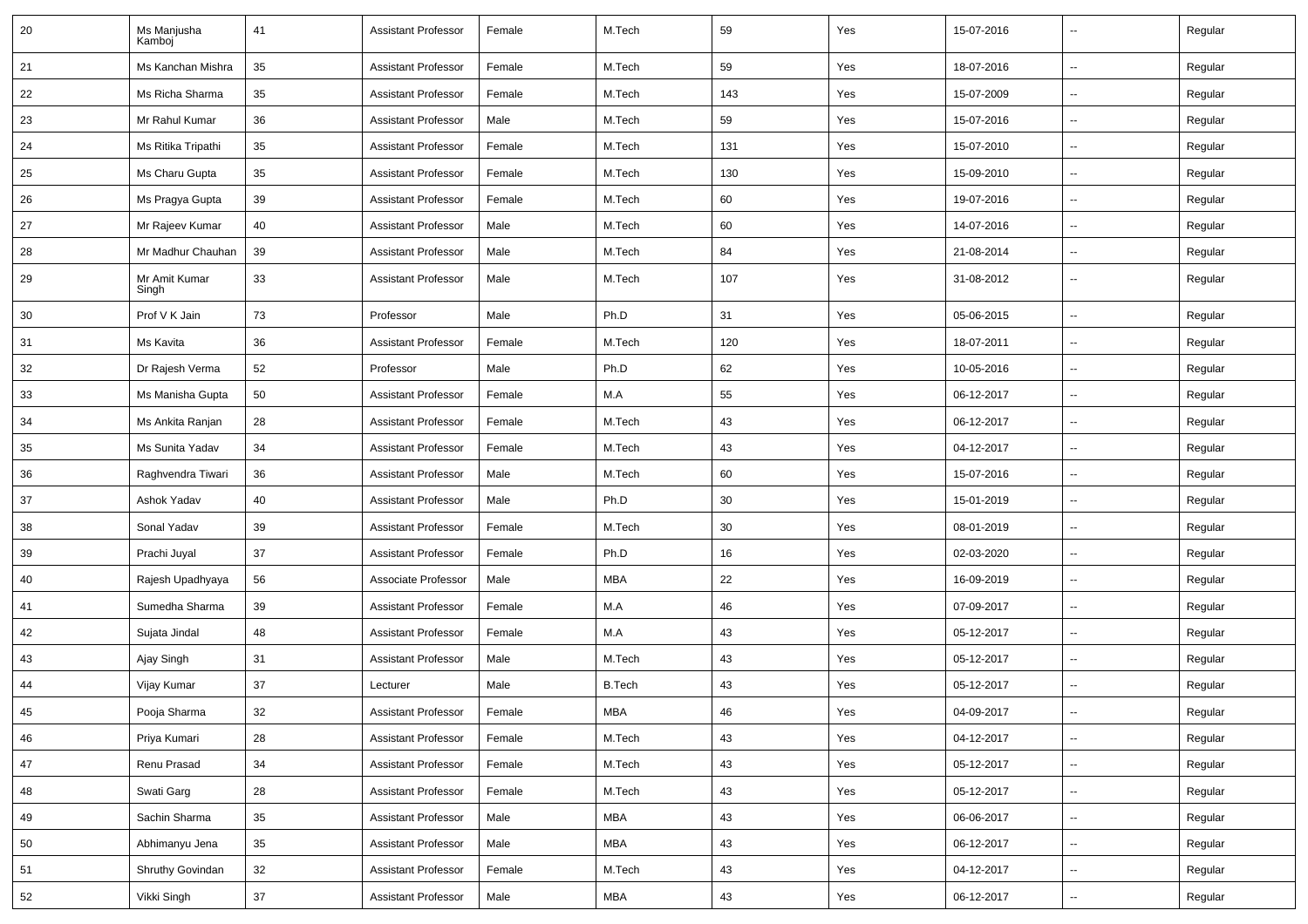| 20 | Ms Manjusha<br>Kamboi  | 41 | <b>Assistant Professor</b> | Female | M.Tech        | 59  | Yes | 15-07-2016 | $\overline{a}$           | Regular |
|----|------------------------|----|----------------------------|--------|---------------|-----|-----|------------|--------------------------|---------|
| 21 | Ms Kanchan Mishra      | 35 | <b>Assistant Professor</b> | Female | M.Tech        | 59  | Yes | 18-07-2016 |                          | Regular |
| 22 | Ms Richa Sharma        | 35 | <b>Assistant Professor</b> | Female | M.Tech        | 143 | Yes | 15-07-2009 | $\sim$                   | Regular |
| 23 | Mr Rahul Kumar         | 36 | <b>Assistant Professor</b> | Male   | M.Tech        | 59  | Yes | 15-07-2016 |                          | Regular |
| 24 | Ms Ritika Tripathi     | 35 | <b>Assistant Professor</b> | Female | M.Tech        | 131 | Yes | 15-07-2010 | $\overline{\phantom{a}}$ | Regular |
| 25 | Ms Charu Gupta         | 35 | <b>Assistant Professor</b> | Female | M.Tech        | 130 | Yes | 15-09-2010 | $\overline{\phantom{a}}$ | Regular |
| 26 | Ms Pragya Gupta        | 39 | <b>Assistant Professor</b> | Female | M.Tech        | 60  | Yes | 19-07-2016 |                          | Regular |
| 27 | Mr Rajeev Kumar        | 40 | <b>Assistant Professor</b> | Male   | M.Tech        | 60  | Yes | 14-07-2016 | $\ddot{\phantom{a}}$     | Regular |
| 28 | Mr Madhur Chauhan      | 39 | <b>Assistant Professor</b> | Male   | M.Tech        | 84  | Yes | 21-08-2014 | $\sim$                   | Regular |
| 29 | Mr Amit Kumar<br>Singh | 33 | <b>Assistant Professor</b> | Male   | M.Tech        | 107 | Yes | 31-08-2012 |                          | Regular |
| 30 | Prof V K Jain          | 73 | Professor                  | Male   | Ph.D          | 31  | Yes | 05-06-2015 | $\overline{\phantom{a}}$ | Regular |
| 31 | Ms Kavita              | 36 | <b>Assistant Professor</b> | Female | M.Tech        | 120 | Yes | 18-07-2011 |                          | Regular |
| 32 | Dr Rajesh Verma        | 52 | Professor                  | Male   | Ph.D          | 62  | Yes | 10-05-2016 | $\overline{\phantom{a}}$ | Regular |
| 33 | Ms Manisha Gupta       | 50 | <b>Assistant Professor</b> | Female | M.A           | 55  | Yes | 06-12-2017 |                          | Regular |
| 34 | Ms Ankita Ranjan       | 28 | <b>Assistant Professor</b> | Female | M.Tech        | 43  | Yes | 06-12-2017 |                          | Regular |
| 35 | Ms Sunita Yadav        | 34 | <b>Assistant Professor</b> | Female | M.Tech        | 43  | Yes | 04-12-2017 | $\sim$                   | Regular |
| 36 | Raghvendra Tiwari      | 36 | <b>Assistant Professor</b> | Male   | M.Tech        | 60  | Yes | 15-07-2016 |                          | Regular |
| 37 | Ashok Yadav            | 40 | <b>Assistant Professor</b> | Male   | Ph.D          | 30  | Yes | 15-01-2019 | $\overline{\phantom{a}}$ | Regular |
| 38 | Sonal Yadav            | 39 | <b>Assistant Professor</b> | Female | M.Tech        | 30  | Yes | 08-01-2019 |                          | Regular |
| 39 | Prachi Juyal           | 37 | <b>Assistant Professor</b> | Female | Ph.D          | 16  | Yes | 02-03-2020 | $\overline{\phantom{a}}$ | Regular |
| 40 | Rajesh Upadhyaya       | 56 | Associate Professor        | Male   | <b>MBA</b>    | 22  | Yes | 16-09-2019 | $\overline{\phantom{a}}$ | Regular |
| 41 | Sumedha Sharma         | 39 | <b>Assistant Professor</b> | Female | M.A           | 46  | Yes | 07-09-2017 | $\sim$                   | Regular |
| 42 | Sujata Jindal          | 48 | <b>Assistant Professor</b> | Female | M.A           | 43  | Yes | 05-12-2017 | $\overline{\phantom{a}}$ | Regular |
| 43 | Ajay Singh             | 31 | <b>Assistant Professor</b> | Male   | M.Tech        | 43  | Yes | 05-12-2017 |                          | Regular |
| 44 | Vijay Kumar            | 37 | Lecturer                   | Male   | <b>B.Tech</b> | 43  | Yes | 05-12-2017 | $\overline{\phantom{a}}$ | Regular |
| 45 | Pooja Sharma           | 32 | Assistant Professor        | Female | MBA           | 46  | Yes | 04-09-2017 |                          | Regular |
| 46 | Priya Kumari           | 28 | Assistant Professor        | Female | M.Tech        | 43  | Yes | 04-12-2017 | $\sim$                   | Regular |
| 47 | Renu Prasad            | 34 | Assistant Professor        | Female | M.Tech        | 43  | Yes | 05-12-2017 | $\sim$                   | Regular |
| 48 | Swati Garg             | 28 | <b>Assistant Professor</b> | Female | M.Tech        | 43  | Yes | 05-12-2017 | н.                       | Regular |
| 49 | Sachin Sharma          | 35 | <b>Assistant Professor</b> | Male   | <b>MBA</b>    | 43  | Yes | 06-06-2017 | $\sim$                   | Regular |
| 50 | Abhimanyu Jena         | 35 | <b>Assistant Professor</b> | Male   | MBA           | 43  | Yes | 06-12-2017 | $\sim$                   | Regular |
| 51 | Shruthy Govindan       | 32 | <b>Assistant Professor</b> | Female | M.Tech        | 43  | Yes | 04-12-2017 | $\sim$                   | Regular |
| 52 | Vikki Singh            | 37 | <b>Assistant Professor</b> | Male   | MBA           | 43  | Yes | 06-12-2017 | $\overline{\phantom{a}}$ | Regular |